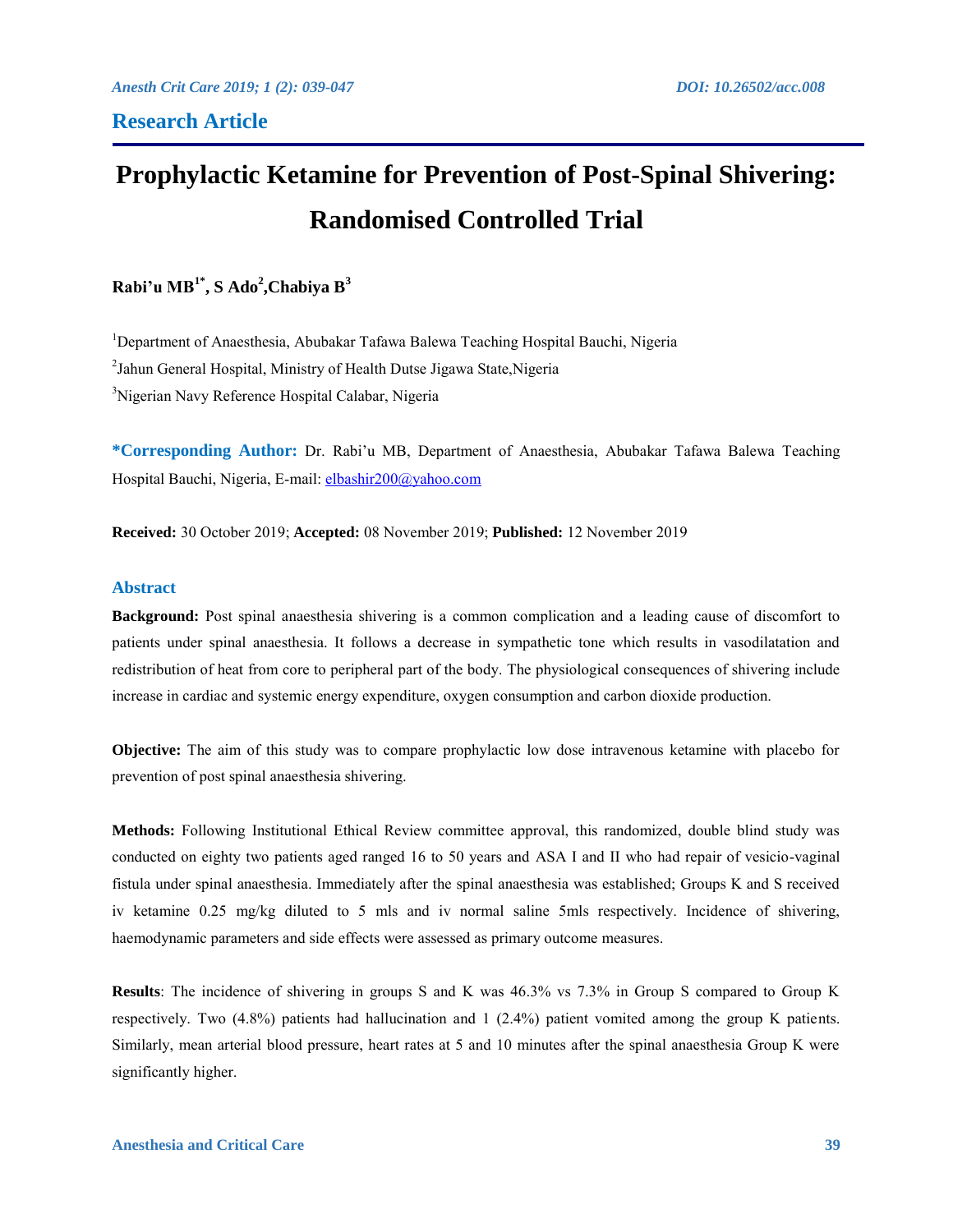# **Prophylactic Ketamine for Prevention of Post-Spinal Shivering: Randomised Controlled Trial**

**Rabi'u MB1\* , S Ado<sup>2</sup> ,Chabiya B<sup>3</sup>**

<sup>1</sup>Department of Anaesthesia, Abubakar Tafawa Balewa Teaching Hospital Bauchi, Nigeria <sup>2</sup>Jahun General Hospital, Ministry of Health Dutse Jigawa State, Nigeria <sup>3</sup>Nigerian Navy Reference Hospital Calabar, Nigeria

**\*Corresponding Author:** Dr. Rabi'u MB, Department of Anaesthesia, Abubakar Tafawa Balewa Teaching Hospital Bauchi, Nigeria, E-mail: [elbashir200@yahoo.com](mailto:elbashir200@yahoo.com)

**Received:** 30 October 2019; **Accepted:** 08 November 2019; **Published:** 12 November 2019

# **Abstract**

**Background:** Post spinal anaesthesia shivering is a common complication and a leading cause of discomfort to patients under spinal anaesthesia. It follows a decrease in sympathetic tone which results in vasodilatation and redistribution of heat from core to peripheral part of the body. The physiological consequences of shivering include increase in cardiac and systemic energy expenditure, oxygen consumption and carbon dioxide production.

**Objective:** The aim of this study was to compare prophylactic low dose intravenous ketamine with placebo for prevention of post spinal anaesthesia shivering.

**Methods:** Following Institutional Ethical Review committee approval, this randomized, double blind study was conducted on eighty two patients aged ranged 16 to 50 years and ASA I and II who had repair of vesicio-vaginal fistula under spinal anaesthesia. Immediately after the spinal anaesthesia was established; Groups K and S received iv ketamine 0.25 mg/kg diluted to 5 mls and iv normal saline 5mls respectively. Incidence of shivering, haemodynamic parameters and side effects were assessed as primary outcome measures.

**Results**: The incidence of shivering in groups S and K was 46.3% vs 7.3% in Group S compared to Group K respectively. Two (4.8%) patients had hallucination and 1 (2.4%) patient vomited among the group K patients. Similarly, mean arterial blood pressure, heart rates at 5 and 10 minutes after the spinal anaesthesia Group K were significantly higher.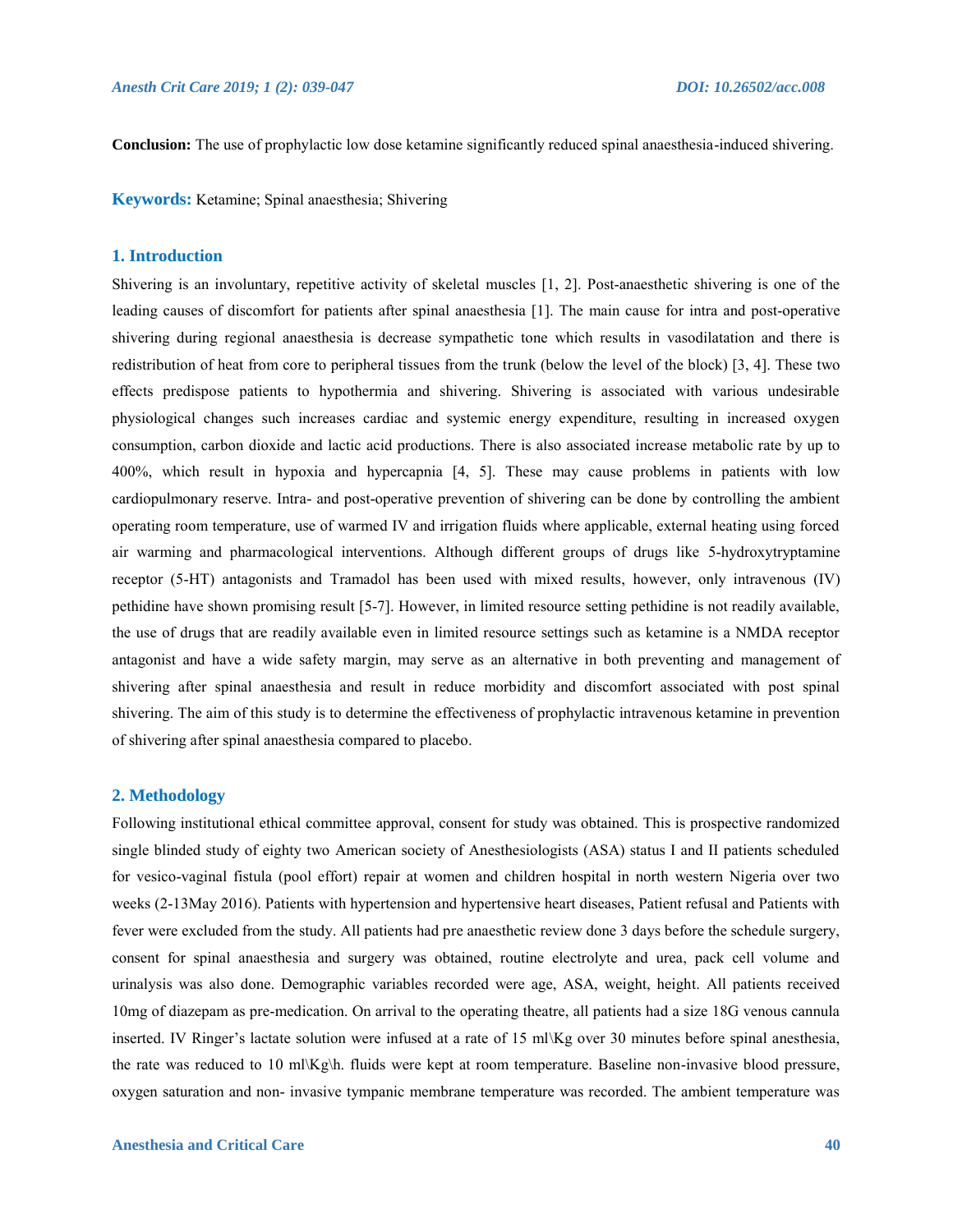**Conclusion:** The use of prophylactic low dose ketamine significantly reduced spinal anaesthesia-induced shivering.

**Keywords:** Ketamine; Spinal anaesthesia; Shivering

# **1. Introduction**

Shivering is an involuntary, repetitive activity of skeletal muscles [1, 2]. Post-anaesthetic shivering is one of the leading causes of discomfort for patients after spinal anaesthesia [1]. The main cause for intra and post-operative shivering during regional anaesthesia is decrease sympathetic tone which results in vasodilatation and there is redistribution of heat from core to peripheral tissues from the trunk (below the level of the block) [3, 4]. These two effects predispose patients to hypothermia and shivering. Shivering is associated with various undesirable physiological changes such increases cardiac and systemic energy expenditure, resulting in increased oxygen consumption, carbon dioxide and lactic acid productions. There is also associated increase metabolic rate by up to 400%, which result in hypoxia and hypercapnia [4, 5]. These may cause problems in patients with low cardiopulmonary reserve. Intra- and post-operative prevention of shivering can be done by controlling the ambient operating room temperature, use of warmed IV and irrigation fluids where applicable, external heating using forced air warming and pharmacological interventions. Although different groups of drugs like 5-hydroxytryptamine receptor (5-HT) antagonists and Tramadol has been used with mixed results, however, only intravenous (IV) pethidine have shown promising result [5-7]. However, in limited resource setting pethidine is not readily available, the use of drugs that are readily available even in limited resource settings such as ketamine is a NMDA receptor antagonist and have a wide safety margin, may serve as an alternative in both preventing and management of shivering after spinal anaesthesia and result in reduce morbidity and discomfort associated with post spinal shivering. The aim of this study is to determine the effectiveness of prophylactic intravenous ketamine in prevention of shivering after spinal anaesthesia compared to placebo.

### **2. Methodology**

Following institutional ethical committee approval, consent for study was obtained. This is prospective randomized single blinded study of eighty two American society of Anesthesiologists (ASA) status I and II patients scheduled for vesico-vaginal fistula (pool effort) repair at women and children hospital in north western Nigeria over two weeks (2-13May 2016). Patients with hypertension and hypertensive heart diseases, Patient refusal and Patients with fever were excluded from the study. All patients had pre anaesthetic review done 3 days before the schedule surgery, consent for spinal anaesthesia and surgery was obtained, routine electrolyte and urea, pack cell volume and urinalysis was also done. Demographic variables recorded were age, ASA, weight, height. All patients received 10mg of diazepam as pre-medication. On arrival to the operating theatre, all patients had a size 18G venous cannula inserted. IV Ringer's lactate solution were infused at a rate of 15 ml\Kg over 30 minutes before spinal anesthesia, the rate was reduced to 10 ml\Kg\h. fluids were kept at room temperature. Baseline non-invasive blood pressure, oxygen saturation and non- invasive tympanic membrane temperature was recorded. The ambient temperature was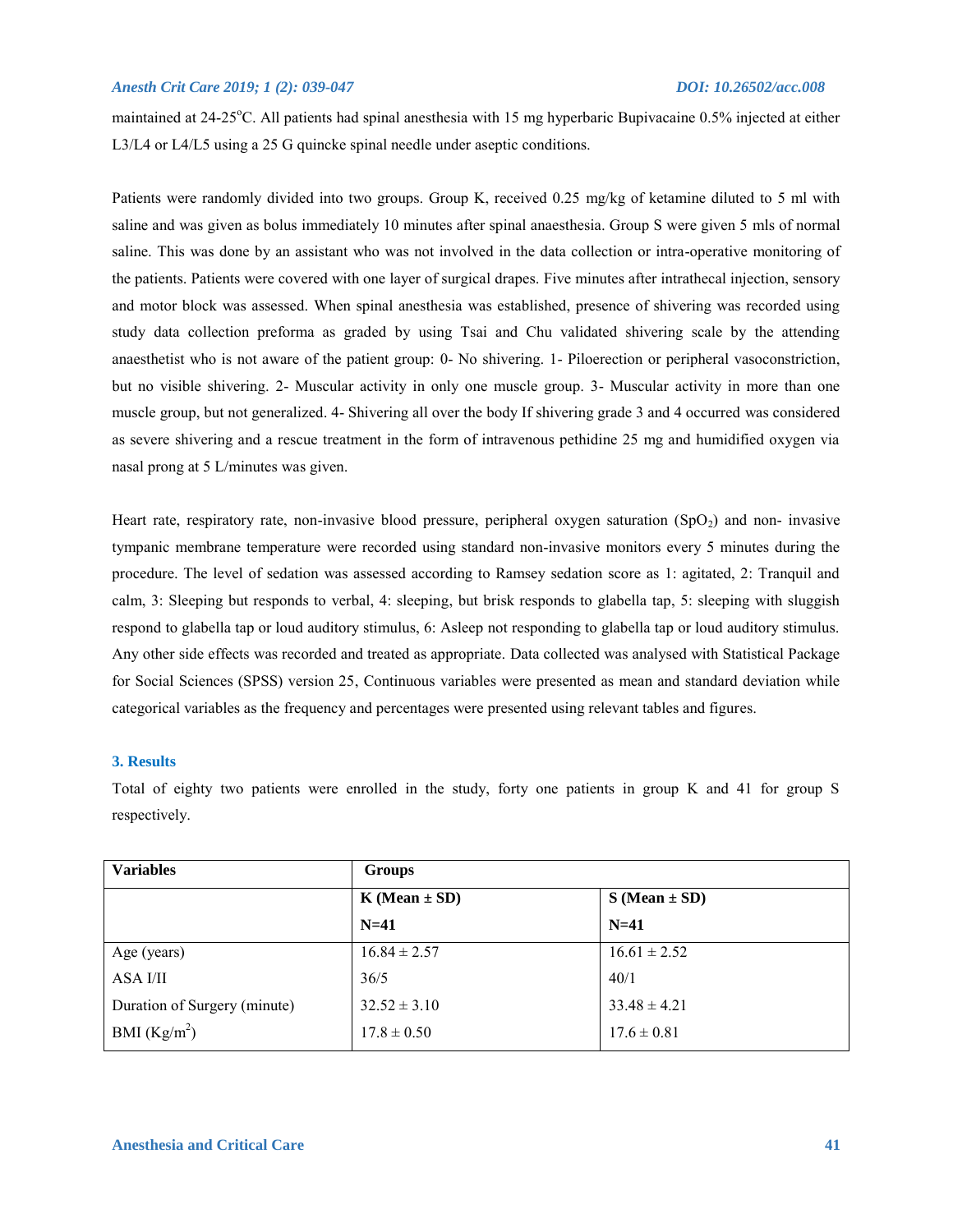maintained at 24-25<sup>o</sup>C. All patients had spinal anesthesia with 15 mg hyperbaric Bupivacaine 0.5% injected at either L3/L4 or L4/L5 using a 25 G quincke spinal needle under aseptic conditions.

Patients were randomly divided into two groups. Group K, received 0.25 mg/kg of ketamine diluted to 5 ml with saline and was given as bolus immediately 10 minutes after spinal anaesthesia. Group S were given 5 mls of normal saline. This was done by an assistant who was not involved in the data collection or intra-operative monitoring of the patients. Patients were covered with one layer of surgical drapes. Five minutes after intrathecal injection, sensory and motor block was assessed. When spinal anesthesia was established, presence of shivering was recorded using study data collection preforma as graded by using Tsai and Chu validated shivering scale by the attending anaesthetist who is not aware of the patient group: 0- No shivering. 1- Piloerection or peripheral vasoconstriction, but no visible shivering. 2- Muscular activity in only one muscle group. 3- Muscular activity in more than one muscle group, but not generalized. 4- Shivering all over the body If shivering grade 3 and 4 occurred was considered as severe shivering and a rescue treatment in the form of intravenous pethidine 25 mg and humidified oxygen via nasal prong at 5 L/minutes was given.

Heart rate, respiratory rate, non-invasive blood pressure, peripheral oxygen saturation  $(SpO<sub>2</sub>)$  and non- invasive tympanic membrane temperature were recorded using standard non-invasive monitors every 5 minutes during the procedure. The level of sedation was assessed according to Ramsey sedation score as 1: agitated, 2: Tranquil and calm, 3: Sleeping but responds to verbal, 4: sleeping, but brisk responds to glabella tap, 5: sleeping with sluggish respond to glabella tap or loud auditory stimulus, 6: Asleep not responding to glabella tap or loud auditory stimulus. Any other side effects was recorded and treated as appropriate. Data collected was analysed with Statistical Package for Social Sciences (SPSS) version 25, Continuous variables were presented as mean and standard deviation while categorical variables as the frequency and percentages were presented using relevant tables and figures.

# **3. Results**

Total of eighty two patients were enrolled in the study, forty one patients in group K and 41 for group S respectively.

| <b>Variables</b>             | <b>Groups</b>       |                     |
|------------------------------|---------------------|---------------------|
|                              | $K$ (Mean $\pm$ SD) | $S$ (Mean $\pm$ SD) |
|                              | $N=41$              | $N=41$              |
| Age (years)                  | $16.84 \pm 2.57$    | $16.61 \pm 2.52$    |
| ASA I/II                     | 36/5                | 40/1                |
| Duration of Surgery (minute) | $32.52 \pm 3.10$    | $33.48 \pm 4.21$    |
| BMI $(Kg/m^2)$               | $17.8 \pm 0.50$     | $17.6 \pm 0.81$     |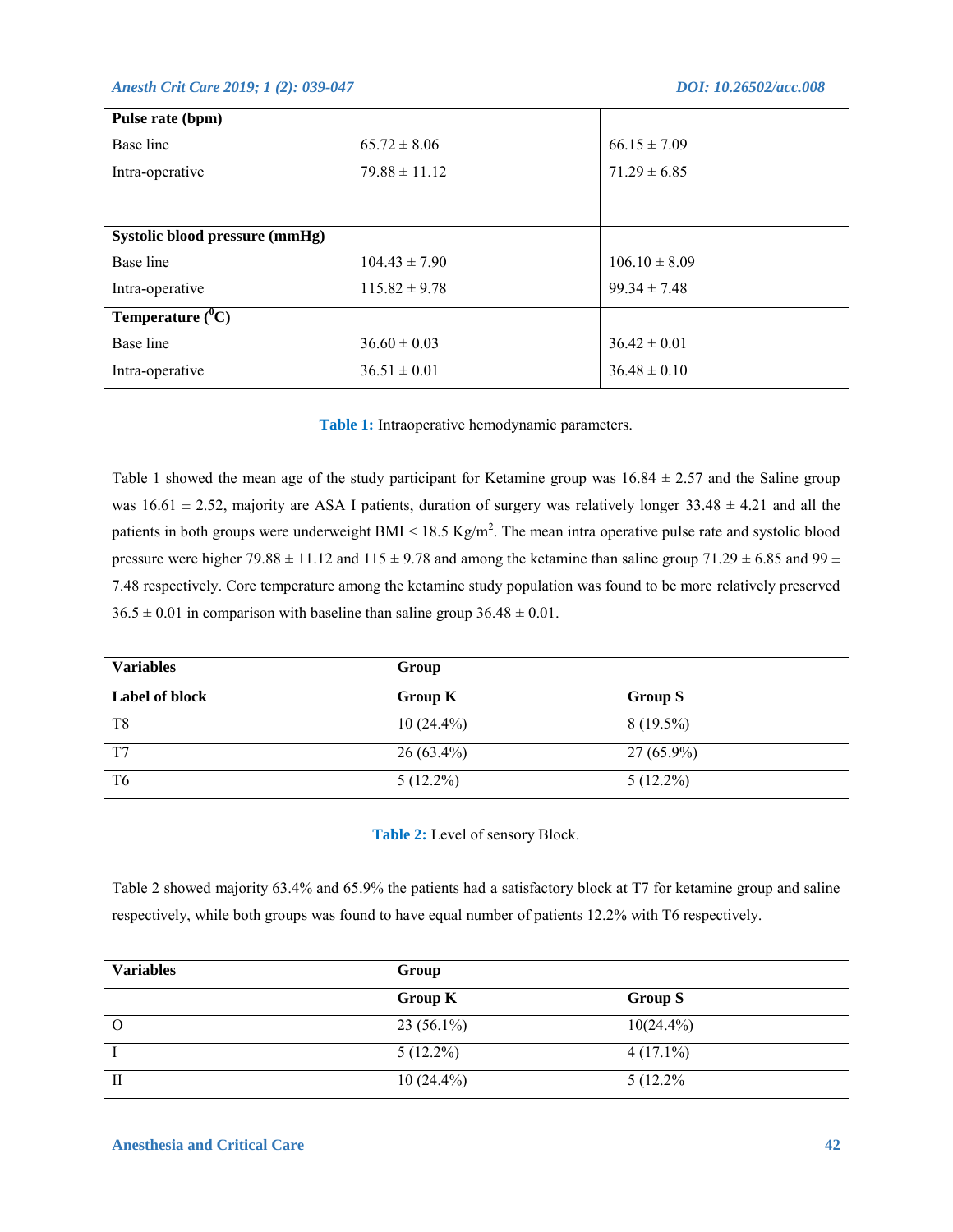| Pulse rate (bpm)               |                   |                   |
|--------------------------------|-------------------|-------------------|
| Base line                      | $65.72 \pm 8.06$  | $66.15 \pm 7.09$  |
| Intra-operative                | $79.88 \pm 11.12$ | $71.29 \pm 6.85$  |
|                                |                   |                   |
|                                |                   |                   |
| Systolic blood pressure (mmHg) |                   |                   |
| Base line                      | $104.43 \pm 7.90$ | $106.10 \pm 8.09$ |
| Intra-operative                | $115.82 \pm 9.78$ | $99.34 \pm 7.48$  |
| <b>Temperature</b> $(^{0}C)$   |                   |                   |
| Base line                      | $36.60 \pm 0.03$  | $36.42 \pm 0.01$  |
| Intra-operative                | $36.51 \pm 0.01$  | $36.48 \pm 0.10$  |

**Table 1:** Intraoperative hemodynamic parameters.

Table 1 showed the mean age of the study participant for Ketamine group was  $16.84 \pm 2.57$  and the Saline group was  $16.61 \pm 2.52$ , majority are ASA I patients, duration of surgery was relatively longer  $33.48 \pm 4.21$  and all the patients in both groups were underweight BMI <  $18.5 \text{ Kg/m}^2$ . The mean intra operative pulse rate and systolic blood pressure were higher 79.88  $\pm$  11.12 and 115  $\pm$  9.78 and among the ketamine than saline group 71.29  $\pm$  6.85 and 99  $\pm$ 7.48 respectively. Core temperature among the ketamine study population was found to be more relatively preserved  $36.5 \pm 0.01$  in comparison with baseline than saline group  $36.48 \pm 0.01$ .

| <b>Variables</b> | Group          |                |  |  |
|------------------|----------------|----------------|--|--|
| Label of block   | <b>Group K</b> | <b>Group S</b> |  |  |
| T8               | $10(24.4\%)$   | $8(19.5\%)$    |  |  |
| T7               | $26(63.4\%)$   | $27(65.9\%)$   |  |  |
| T <sub>6</sub>   | $5(12.2\%)$    | $5(12.2\%)$    |  |  |

**Table 2:** Level of sensory Block.

Table 2 showed majority 63.4% and 65.9% the patients had a satisfactory block at T7 for ketamine group and saline respectively, while both groups was found to have equal number of patients 12.2% with T6 respectively.

| <b>Variables</b> | Group          |                |  |
|------------------|----------------|----------------|--|
|                  | <b>Group K</b> | <b>Group S</b> |  |
| $\circ$          | $23(56.1\%)$   | $10(24.4\%)$   |  |
|                  | $5(12.2\%)$    | $4(17.1\%)$    |  |
| Н                | $10(24.4\%)$   | $5(12.2\%$     |  |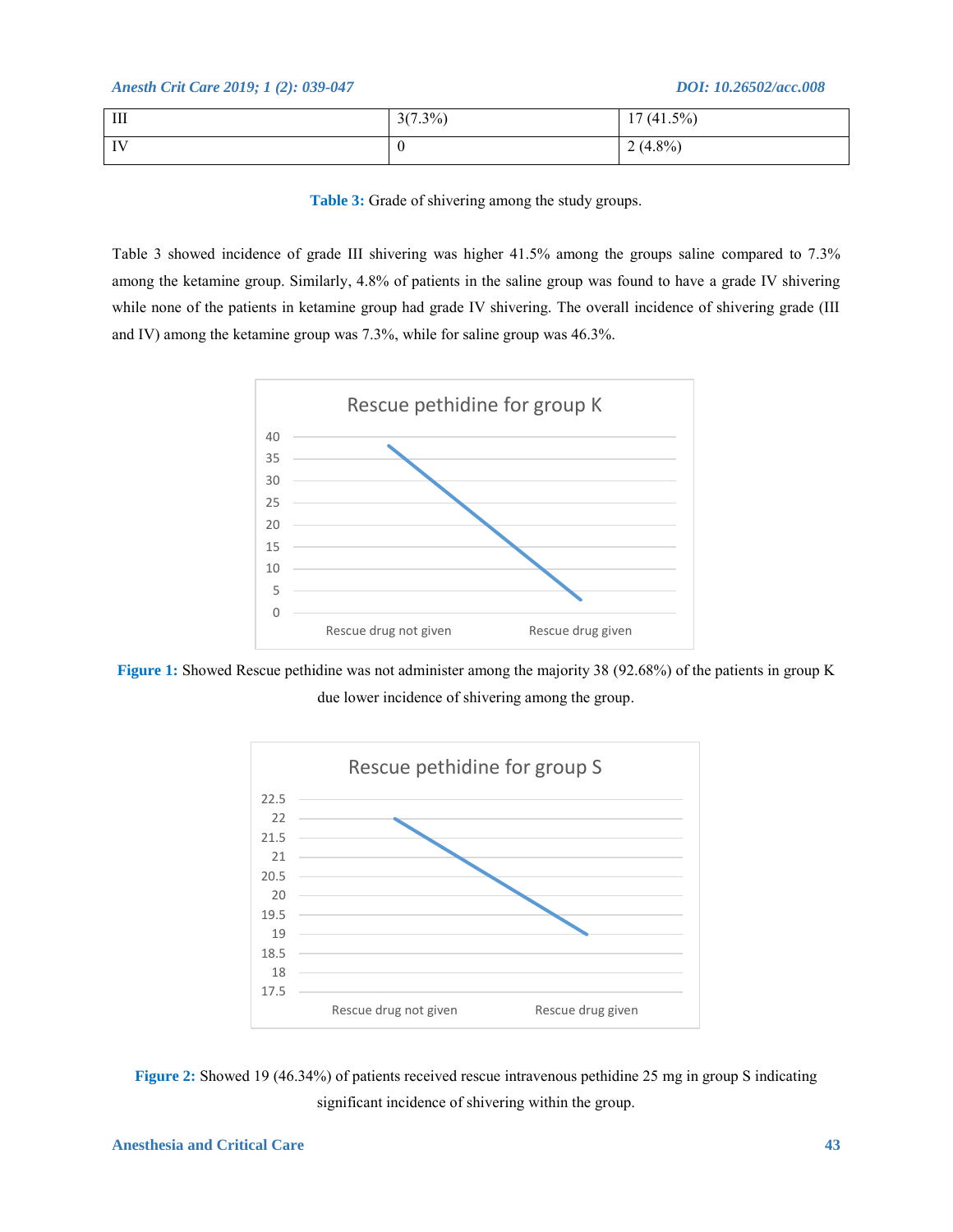| $\mathop{\rm III}$      | $3(7.3\%)$ | $(41.5\%)$<br>1 <sub>7</sub><br>Ι. |
|-------------------------|------------|------------------------------------|
| $\mathbf{I} \mathbf{V}$ | $\theta$   | $2(4.8\%)$                         |

Table 3: Grade of shivering among the study groups.

Table 3 showed incidence of grade III shivering was higher 41.5% among the groups saline compared to 7.3% among the ketamine group. Similarly, 4.8% of patients in the saline group was found to have a grade IV shivering while none of the patients in ketamine group had grade IV shivering. The overall incidence of shivering grade (III and IV) among the ketamine group was 7.3%, while for saline group was 46.3%.



**Figure 1:** Showed Rescue pethidine was not administer among the majority 38 (92.68%) of the patients in group K due lower incidence of shivering among the group.



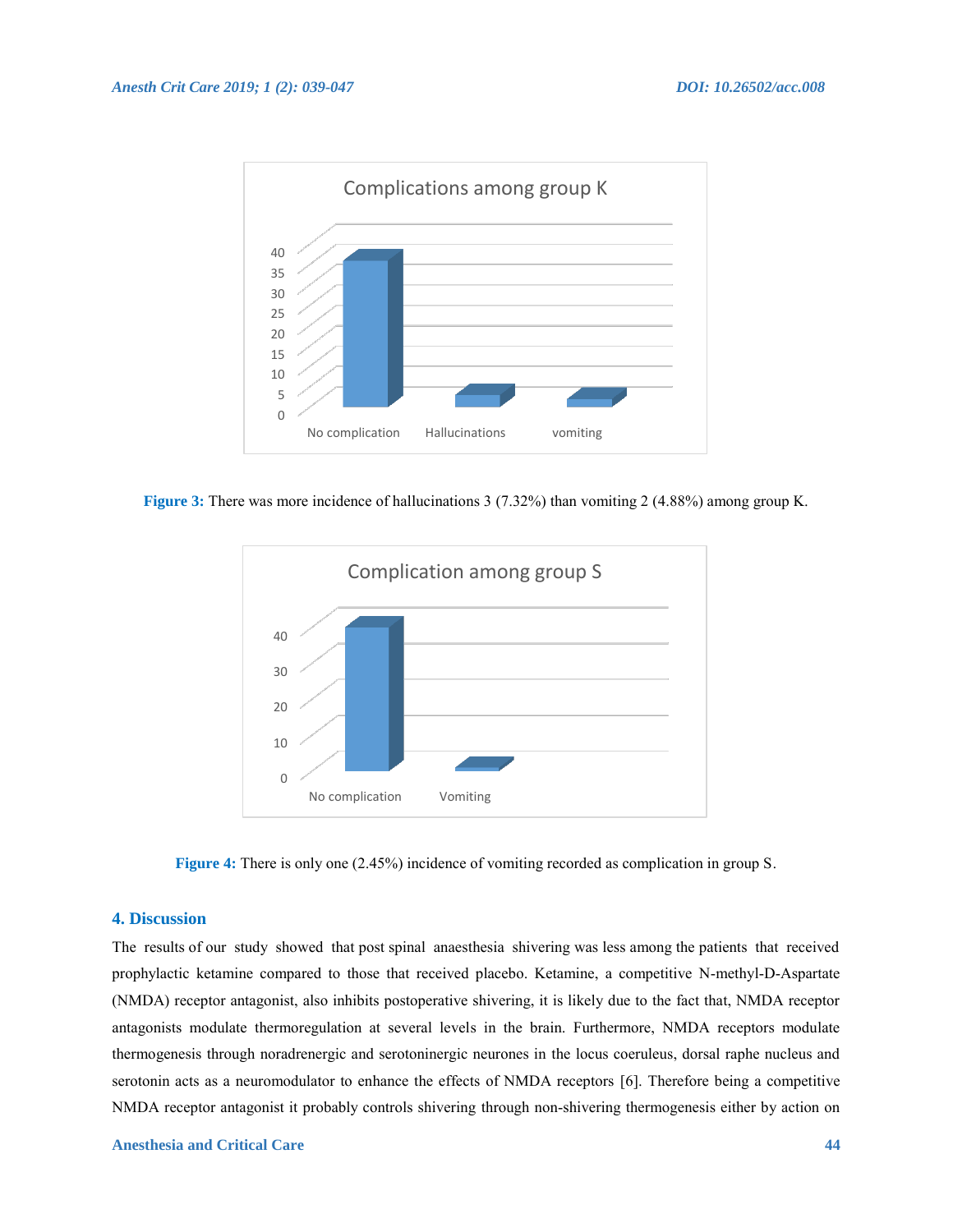

**Figure 3:** There was more incidence of hallucinations 3 (7.32%) than vomiting 2 (4.88%) among group K.



**Figure 4:** There is only one (2.45%) incidence of vomiting recorded as complication in group S.

# **4. Discussion**

The results of our study showed that post spinal anaesthesia shivering was less among the patients that received prophylactic ketamine compared to those that received placebo. Ketamine, a competitive N-methyl-D-Aspartate (NMDA) receptor antagonist, also inhibits postoperative shivering, it is likely due to the fact that, NMDA receptor antagonists modulate thermoregulation at several levels in the brain. Furthermore, NMDA receptors modulate thermogenesis through noradrenergic and serotoninergic neurones in the locus coeruleus, dorsal raphe nucleus and serotonin acts as a neuromodulator to enhance the effects of NMDA receptors [6]. Therefore being a competitive NMDA receptor antagonist it probably controls shivering through non-shivering thermogenesis either by action on

#### **Anesthesia and Critical Care 44**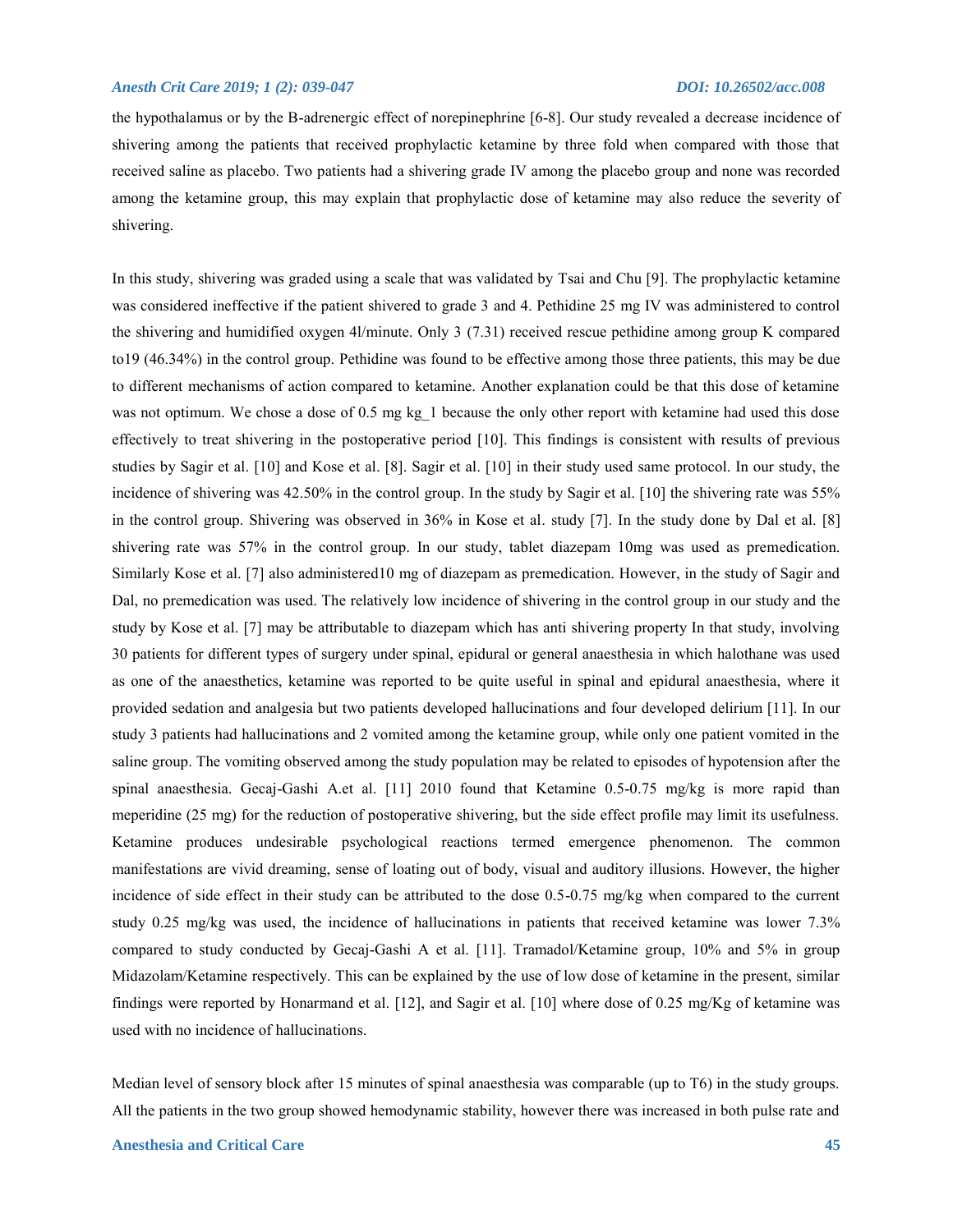the hypothalamus or by the B-adrenergic effect of norepinephrine [6-8]. Our study revealed a decrease incidence of shivering among the patients that received prophylactic ketamine by three fold when compared with those that received saline as placebo. Two patients had a shivering grade IV among the placebo group and none was recorded among the ketamine group, this may explain that prophylactic dose of ketamine may also reduce the severity of shivering.

In this study, shivering was graded using a scale that was validated by Tsai and Chu [9]. The prophylactic ketamine was considered ineffective if the patient shivered to grade 3 and 4. Pethidine 25 mg IV was administered to control the shivering and humidified oxygen 4l/minute. Only 3 (7.31) received rescue pethidine among group K compared to19 (46.34%) in the control group. Pethidine was found to be effective among those three patients, this may be due to different mechanisms of action compared to ketamine. Another explanation could be that this dose of ketamine was not optimum. We chose a dose of 0.5 mg kg 1 because the only other report with ketamine had used this dose effectively to treat shivering in the postoperative period [10]. This findings is consistent with results of previous studies by Sagir et al. [10] and Kose et al. [8]. Sagir et al. [10] in their study used same protocol. In our study, the incidence of shivering was 42.50% in the control group. In the study by Sagir et al. [10] the shivering rate was 55% in the control group. Shivering was observed in 36% in Kose et al. study [7]. In the study done by Dal et al. [8] shivering rate was 57% in the control group. In our study, tablet diazepam 10mg was used as premedication. Similarly Kose et al. [7] also administered10 mg of diazepam as premedication. However, in the study of Sagir and Dal, no premedication was used. The relatively low incidence of shivering in the control group in our study and the study by Kose et al. [7] may be attributable to diazepam which has anti shivering property In that study, involving 30 patients for different types of surgery under spinal, epidural or general anaesthesia in which halothane was used as one of the anaesthetics, ketamine was reported to be quite useful in spinal and epidural anaesthesia, where it provided sedation and analgesia but two patients developed hallucinations and four developed delirium [11]. In our study 3 patients had hallucinations and 2 vomited among the ketamine group, while only one patient vomited in the saline group. The vomiting observed among the study population may be related to episodes of hypotension after the spinal anaesthesia. Gecaj-Gashi A.et al. [11] 2010 found that Ketamine 0.5-0.75 mg/kg is more rapid than meperidine (25 mg) for the reduction of postoperative shivering, but the side effect profile may limit its usefulness. Ketamine produces undesirable psychological reactions termed emergence phenomenon. The common manifestations are vivid dreaming, sense of loating out of body, visual and auditory illusions. However, the higher incidence of side effect in their study can be attributed to the dose 0.5-0.75 mg/kg when compared to the current study 0.25 mg/kg was used, the incidence of hallucinations in patients that received ketamine was lower 7.3% compared to study conducted by Gecaj-Gashi A et al. [11]. Tramadol/Ketamine group, 10% and 5% in group Midazolam/Ketamine respectively. This can be explained by the use of low dose of ketamine in the present, similar findings were reported by Honarmand et al. [12], and Sagir et al. [10] where dose of 0.25 mg/Kg of ketamine was used with no incidence of hallucinations.

Median level of sensory block after 15 minutes of spinal anaesthesia was comparable (up to T6) in the study groups. All the patients in the two group showed hemodynamic stability, however there was increased in both pulse rate and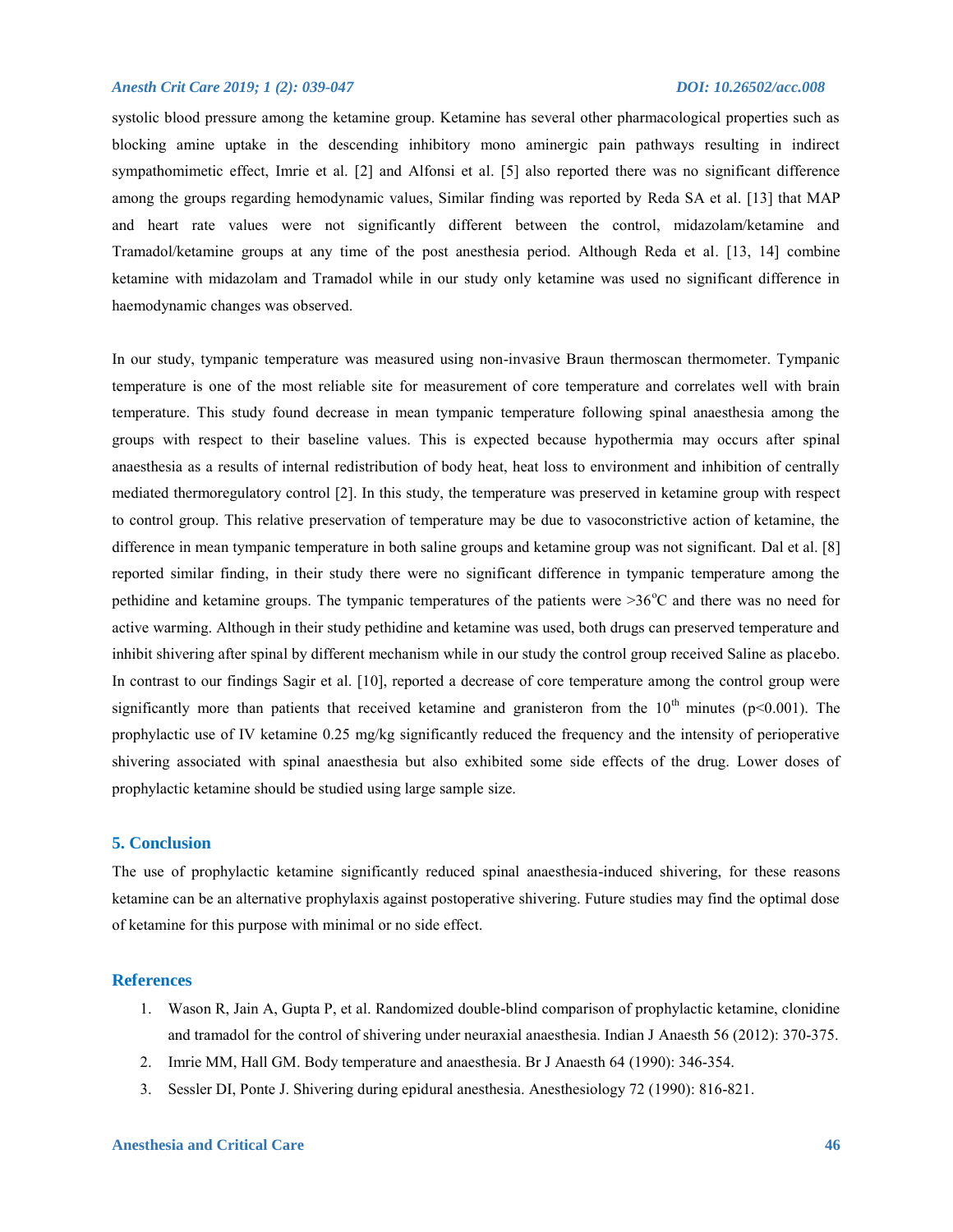systolic blood pressure among the ketamine group. Ketamine has several other pharmacological properties such as blocking amine uptake in the descending inhibitory mono aminergic pain pathways resulting in indirect sympathomimetic effect, Imrie et al. [2] and Alfonsi et al. [5] also reported there was no significant difference among the groups regarding hemodynamic values, Similar finding was reported by Reda SA et al. [13] that MAP and heart rate values were not significantly different between the control, midazolam/ketamine and Tramadol/ketamine groups at any time of the post anesthesia period. Although Reda et al. [13, 14] combine ketamine with midazolam and Tramadol while in our study only ketamine was used no significant difference in haemodynamic changes was observed.

In our study, tympanic temperature was measured using non-invasive Braun thermoscan thermometer. Tympanic temperature is one of the most reliable site for measurement of core temperature and correlates well with brain temperature. This study found decrease in mean tympanic temperature following spinal anaesthesia among the groups with respect to their baseline values. This is expected because hypothermia may occurs after spinal anaesthesia as a results of internal redistribution of body heat, heat loss to environment and inhibition of centrally mediated thermoregulatory control [2]. In this study, the temperature was preserved in ketamine group with respect to control group. This relative preservation of temperature may be due to vasoconstrictive action of ketamine, the difference in mean tympanic temperature in both saline groups and ketamine group was not significant. Dal et al. [8] reported similar finding, in their study there were no significant difference in tympanic temperature among the pethidine and ketamine groups. The tympanic temperatures of the patients were  $>36^{\circ}$ C and there was no need for active warming. Although in their study pethidine and ketamine was used, both drugs can preserved temperature and inhibit shivering after spinal by different mechanism while in our study the control group received Saline as placebo. In contrast to our findings Sagir et al. [10], reported a decrease of core temperature among the control group were significantly more than patients that received ketamine and granisteron from the  $10<sup>th</sup>$  minutes (p<0.001). The prophylactic use of IV ketamine 0.25 mg/kg significantly reduced the frequency and the intensity of perioperative shivering associated with spinal anaesthesia but also exhibited some side effects of the drug. Lower doses of prophylactic ketamine should be studied using large sample size.

#### **5. Conclusion**

The use of prophylactic ketamine significantly reduced spinal anaesthesia-induced shivering, for these reasons ketamine can be an alternative prophylaxis against postoperative shivering. Future studies may find the optimal dose of ketamine for this purpose with minimal or no side effect.

#### **References**

- 1. Wason R, Jain A, Gupta P, et al. Randomized double-blind comparison of prophylactic ketamine, clonidine and tramadol for the control of shivering under neuraxial anaesthesia. Indian J Anaesth 56 (2012): 370-375.
- 2. Imrie MM, Hall GM. Body temperature and anaesthesia. Br J Anaesth 64 (1990): 346-354.
- 3. Sessler DI, Ponte J. Shivering during epidural anesthesia. Anesthesiology 72 (1990): 816-821.